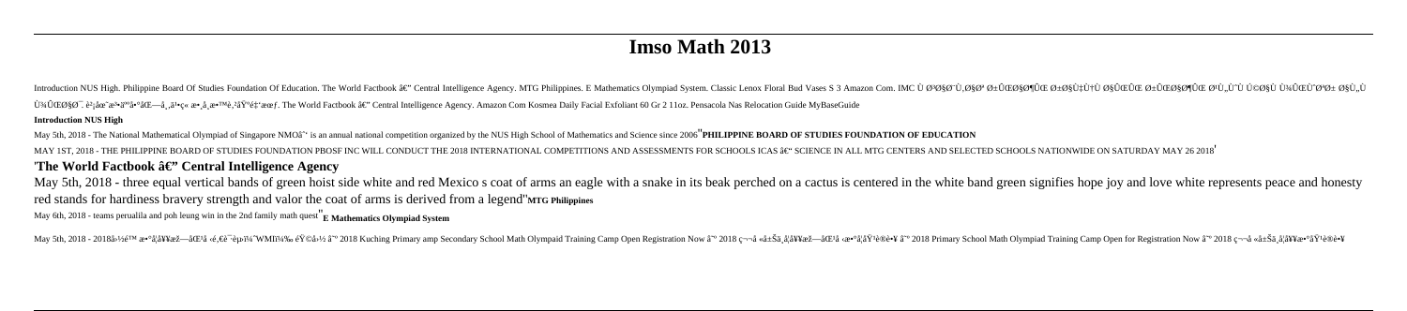## **Imso Math 2013**

Introduction NUS High. Philippine Board Of Studies Foundation Of Education. The World Factbook â€" Central Intelligence Agency. MTG Philippines. E Mathematics Olympiad System. Classic Lenox Floral Bud Vases S 3 Amazon Com پیاØ : è<sup>2</sup>iåœ re<sup>3</sup>\* ä<sup>∞</sup>啰北å, ä<sup>1</sup>•ç« æ•,å æ•™è,<sup>2</sup>埰é‡ 'æœf. The World Factbook â€" Central Intelligence Agency. Amazon Com Kosmea Daily Facial Exfoliant 60 Gr 2 11oz. Pensacola Nas Relocation Guide MyBaseGuide **Introduction NUS High** 

May 5th, 2018 - The National Mathematical Olympiad of Singapore NMOâ<sup>^</sup> is an annual national competition organized by the NUS High School of Mathematics and Science since 2006<sup>"</sup>PHILIPPINE BOARD OF STUDIES FOUNDATION OF E MAY 1ST, 2018 - THE PHILIPPINE BOARD OF STUDIES FOUNDATION PROSE INC WILL CONDUCT THE 2018 INTERNATIONAL COMPETITIONS AND ASSESSMENTS FOR SCHOOLS ICAS †"SCIENCE IN ALL MTG CENTERS AND SELECTED SCHOOLS NATIONWIDE ON SATU The World Factbook  $\hat{a}\in$ " Central Intelligence Agency

May 5th, 2018 - three equal vertical bands of green hoist side white and red Mexico s coat of arms an eagle with a snake in its beak perched on a cactus is centered in the white band green signifies hope joy and love white red stands for hardiness bravery strength and valor the coat of arms is derived from a legend"MTG Philippines

May 6th, 2018 - teams perualila and poh leung win in the 2nd family math quest E Mathematics Olympiad System

May 5th, 2018 - 2018 a-2018 a-2018 a-2018 a-2018 a-2018 a-2018 A-3 a-2018 A-3 a-2018 Kuching Primary amp Secondary School Math Olympaid Training Camp Open Registration Now a<sup>-0</sup> 2018 Remaining Camp Open Resistration Now a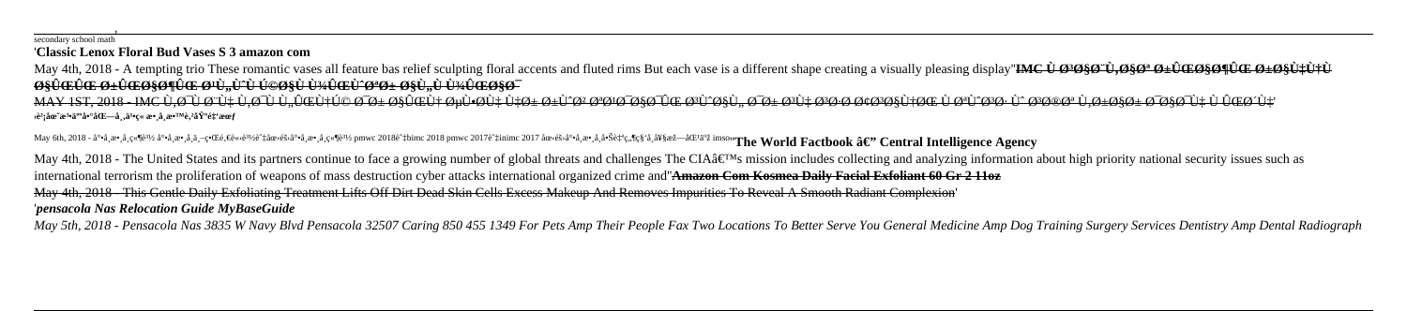## secondary school math' '**Classic Lenox Floral Bud Vases S 3 amazon com**

May 4th, 2018 - A tempting trio These romantic vases all feature bas relief sculpting floral accents and fluted rims But each vase is a different shape creating a visually pleasing display"IMC  $\hat{U} \otimes \hat{W} \otimes \hat{W} \otimes \hat{W$ *<u>BSUCCIC O+UCOSONUG O+U, U^U UOOSU U34UGEU^O\*O+ OSU, U U34UGOSO-</u>* 

MAY 1ST, 2018 - IMC Ù,ØU`QU`LU,ØU`LU@Ù+Ú© ØD± Ø\$ÛŒÙ+ ØuÙ•ØÙ‡ هر رV^Ø\$ Ø\$Ø\$O\$Ù; ØD\$+Ø\$Ø\$Ø\$Ø\$Ø\$V\$\$P\$\$V\$\$V\$\$V\$\$ \$@\$@\$Q\$\$Q\$\$Q\$\$Q\$\$Q\$\$Q\$\$ '**財團法人啰北å¸'ä¹•ç« æ•¸å¸æ•™è'²åŸºé‡'會**

May 6th, 2018 - å°•å,數å,競辿å°•å,數å,ä,–界é,€è«‹è¾èĉ†åœ‹éš›å°•å,數å¸ç«¶è¾¿ pmwc 2018 pmwc 2017 èû tinimc 2017 國際尕å,數å¸å•Šè‡ªç,¶ç§'å¸å¥§æž—åŒ<sup>l</sup>亞 imso''**The World Factbook ‒' Central Intelligence Agency** May 4th, 2018 - The United States and its partners continue to face a growing number of global threats and challenges The CIA $\hat{\mathbf{a}} \in \mathbb{M}$ s mission includes collecting and analyzing information about high priority na international terrorism the proliferation of weapons of mass destruction cyber attacks international organized crime and''**Amazon Com Kosmea Daily Facial Exfoliant 60 Gr 2 11oz** May 4th, 2018 - This Gentle Daily Exfoliating Treatment Lifts Off Dirt Dead Skin Cells Excess Makeup And Removes Impurities To Reveal A Smooth Radiant Complexion' '*pensacola Nas Relocation Guide MyBaseGuide*

May 5th, 2018 - Pensacola Nas 3835 W Navy Blvd Pensacola 32507 Caring 850 455 1349 For Pets Amp Their People Fax Two Locations To Better Serve You General Medicine Amp Dog Training Surgery Services Dentistry Amp Dental Rad